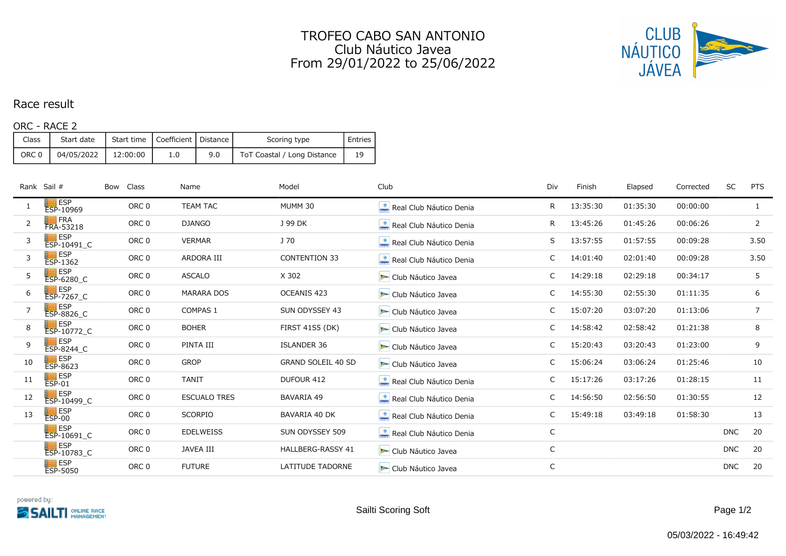## TROFEO CABO SAN ANTONIO Club Náutico Javea From 29/01/2022 to 25/06/2022



## **Race result**

ORC - RACE 2

| Class | Start date | Start time   Coefficient   Distance |     |     | Scoring type                | Entries |  |
|-------|------------|-------------------------------------|-----|-----|-----------------------------|---------|--|
| ORC 0 | 04/05/2022 | 12:00:00                            | 1.0 | 9.0 | ToT Coastal / Long Distance | 19      |  |

|    | Rank Sail #                       | <b>Bow</b> | Class            | Name                | Model                     | Club                    | Div | Finish   | Elapsed  | Corrected | <b>SC</b>  | <b>PTS</b>     |
|----|-----------------------------------|------------|------------------|---------------------|---------------------------|-------------------------|-----|----------|----------|-----------|------------|----------------|
|    | ESP<br>ESP-10969                  |            | ORC <sub>0</sub> | <b>TEAM TAC</b>     | MUMM 30                   | Real Club Náutico Denia | R.  | 13:35:30 | 01:35:30 | 00:00:00  |            | 1              |
| 2  | $FRA-53218$                       |            | ORC <sub>0</sub> | <b>DJANGO</b>       | J 99 DK                   | Real Club Náutico Denia | R.  | 13:45:26 | 01:45:26 | 00:06:26  |            | $\overline{2}$ |
| 3  | $\blacksquare$ ESP<br>ESP-10491 C |            | ORC 0            | <b>VERMAR</b>       | J 70                      | Real Club Náutico Denia | S   | 13:57:55 | 01:57:55 | 00:09:28  |            | 3.50           |
| 3  | $\equiv$ ESP<br>ESP-1362          |            | ORC 0            | ARDORA III          | <b>CONTENTION 33</b>      | Real Club Náutico Denia | C   | 14:01:40 | 02:01:40 | 00:09:28  |            | 3.50           |
| 5  | ESP<br>ESP-6280_C                 |            | ORC <sub>0</sub> | <b>ASCALO</b>       | X 302                     | Club Náutico Javea      |     | 14:29:18 | 02:29:18 | 00:34:17  |            | 5              |
| 6  | ESP<br>ESP-7267_C                 |            | ORC 0            | <b>MARARA DOS</b>   | OCEANIS 423               | Club Náutico Javea      | C   | 14:55:30 | 02:55:30 | 01:11:35  |            | 6              |
| 7  | $ESP-8826_C$                      |            | ORC <sub>0</sub> | COMPAS <sub>1</sub> | SUN ODYSSEY 43            | Club Náutico Javea      | C   | 15:07:20 | 03:07:20 | 01:13:06  |            | $\overline{7}$ |
| 8  | $ESP-10772_C$                     |            | ORC 0            | <b>BOHER</b>        | <b>FIRST 41S5 (DK)</b>    | Club Náutico Javea      | C   | 14:58:42 | 02:58:42 | 01:21:38  |            | 8              |
| 9  | $\blacksquare$ ESP<br>ESP-8244_C  |            | ORC 0            | PINTA III           | <b>ISLANDER 36</b>        | Club Náutico Javea      | C   | 15:20:43 | 03:20:43 | 01:23:00  |            | 9              |
| 10 | $ESP-8623$                        |            | ORC 0            | <b>GROP</b>         | <b>GRAND SOLEIL 40 SD</b> | Club Náutico Javea      |     | 15:06:24 | 03:06:24 | 01:25:46  |            | 10             |
| 11 | $\equiv$ ESP<br>$ESP-01$          |            | ORC 0            | <b>TANIT</b>        | DUFOUR 412                | Real Club Náutico Denia | C   | 15:17:26 | 03:17:26 | 01:28:15  |            | 11             |
| 12 | $\blacksquare$ ESP<br>ESP-10499_C |            | ORC <sub>0</sub> | <b>ESCUALO TRES</b> | <b>BAVARIA 49</b>         | Real Club Náutico Denia | C   | 14:56:50 | 02:56:50 | 01:30:55  |            | 12             |
| 13 | ESP-00                            |            | ORC <sub>0</sub> | SCORPIO             | <b>BAVARIA 40 DK</b>      | Real Club Náutico Denia | C   | 15:49:18 | 03:49:18 | 01:58:30  |            | 13             |
|    | $\equiv$ ESP<br>ESP-10691_C       |            | ORC <sub>0</sub> | <b>EDELWEISS</b>    | SUN ODYSSEY 509           | Real Club Náutico Denia | C   |          |          |           | <b>DNC</b> | 20             |
|    | $\equiv$ ESP<br>ESP-10783_C       |            | ORC <sub>0</sub> | <b>JAVEA III</b>    | <b>HALLBERG-RASSY 41</b>  | Club Náutico Javea      | C   |          |          |           | <b>DNC</b> | 20             |
|    | $ESP-5050$                        |            | ORC <sub>0</sub> | <b>FUTURE</b>       | LATITUDE TADORNE          | Club Náutico Javea      | C   |          |          |           | <b>DNC</b> | 20             |

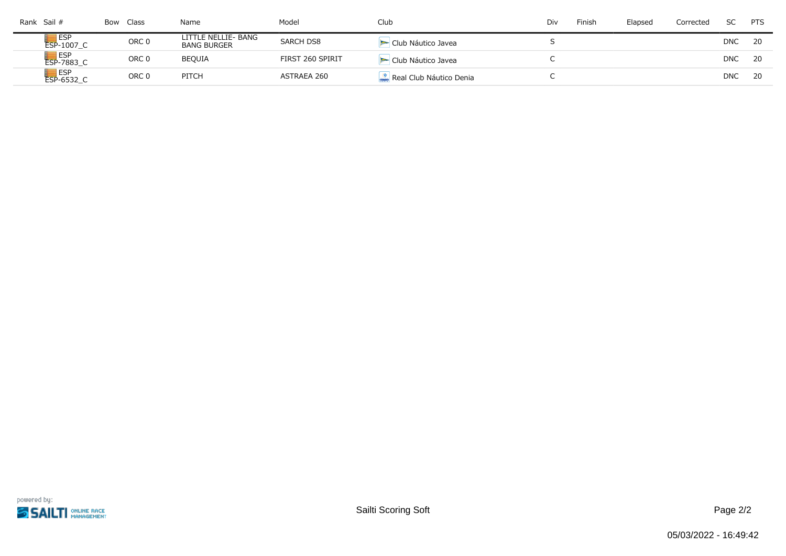| Rank Sail #              | Class<br><b>Bow</b> | Name                                      | Model            | Club                     | Div | Finish | Elapsed | Corrected | <b>SC</b>  | PTS |
|--------------------------|---------------------|-------------------------------------------|------------------|--------------------------|-----|--------|---------|-----------|------------|-----|
| <b>ESP</b><br>ESP-1007 C | ORC <sub>0</sub>    | LITTLE NELLIE- BANG<br><b>BANG BURGER</b> | <b>SARCH DS8</b> | Club Náutico Javea       |     |        |         |           | <b>DNC</b> |     |
| ESP<br>ESP-7883_C        | ORC <sub>0</sub>    | <b>BEOUIA</b>                             | FIRST 260 SPIRIT | Club Náutico Javea       |     |        |         |           | <b>DNC</b> |     |
| ESP<br>ESP-6532_C        | ORC <sub>0</sub>    | PITCH                                     | ASTRAEA 260      | Real Club Náutico Denia» |     |        |         |           | <b>DNC</b> |     |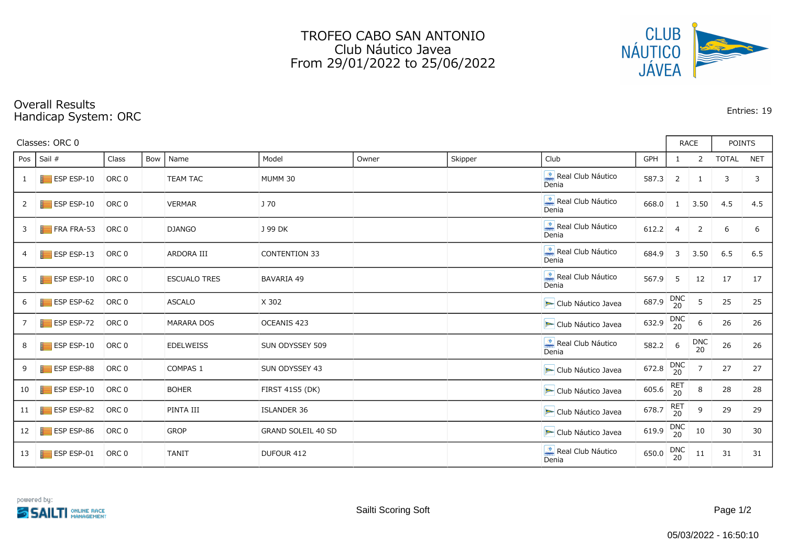## TROFEO CABO SAN ANTONIO Club Náutico Javea From 29/01/2022 to 25/06/2022



**Overall Results Handicap System: ORC Entries: 19**

**Classes: ORC 0 RACE POINTS Pos Sail # Class Bow Name Model Owner Skipper Club GPH 1 2 TOTAL NET 1** ESP ESP-10 ORC 0 **TEAM TAC MUMM 30 Real Club Náutico Denia 587.3** 2 1 3 **3 2** ESP ESP-10 ORC 0 **VERMAR J 70 Real Club Náutico Denia 668.0** 1 3.50 4.5 **4.5 3** FRA FRA-53 ORC 0 **DJANGO J 99 DK Real Club Náutico Denia 612.2** 4 2 6 **6 4** ESP ESP-13 ORC 0 **ARDORA III CONTENTION 33 Real Club Náutico Denia 684.9** 3 3.50 6.5 **6.5 5** ESP ESP-10 ORC 0 **ESCUALO TRES BAVARIA 49 Real Club Náutico Denia 567.9** 5 12 17 **17 6** ESP ESP-62 ORC 0 **ASCALO X 302 Club Náutico Javea** 687.9 **687.9** 20 <sup>20</sup> <sup>5</sup> <sup>25</sup> **<sup>25</sup> <sup>7</sup>** ESP ESP-72 ORC 0 **MARARA DOS OCEANIS 423 Club Náutico Javea 632.9** DNC <sup>20</sup> <sup>6</sup> <sup>26</sup> **<sup>26</sup> 8** ESP ESP-10 ORC 0 **EDELWEISS** SUN ODYSSEY 509<br>
SUN ODYSSEY 509 **582.2** 6 DNC <sup>20</sup> <sup>26</sup> **<sup>26</sup>** 9 ESP ESP-88 ORC 0 **COMPAS 1** SUN ODYSSEY 43 and the substitution of the SUN ODYSSEY 43 and the SUN ODYSSEY 43 <sup>20</sup> <sup>7</sup> <sup>27</sup> **<sup>27</sup> <sup>10</sup>** ESP ESP-10 ORC 0 **BOHER FIRST 41S5 (DK) Club Náutico Javea 605.6** RET <sup>20</sup> <sup>8</sup> <sup>28</sup> **<sup>28</sup> <sup>11</sup>** ESP ESP-82 ORC 0 **PINTA III ISLANDER 36 Club Náutico Javea 678.7** RET <sup>20</sup> <sup>9</sup> <sup>29</sup> **<sup>29</sup>** 12 ESP ESP-86 ORC 0 GROP GRAND SOLEIL 40 SD Club Náutico Javea 619.9 <sup>DNC</sup> <sup>20</sup> <sup>10</sup> <sup>30</sup> **<sup>30</sup> 13** ESP ESP-01 ORC 0 **TANIT DUFOUR 412 Real Club Náutico Denia 650.0** DNC <sup>20</sup> <sup>11</sup> <sup>31</sup> **<sup>31</sup>**

05/03/2022 - 16:50:10